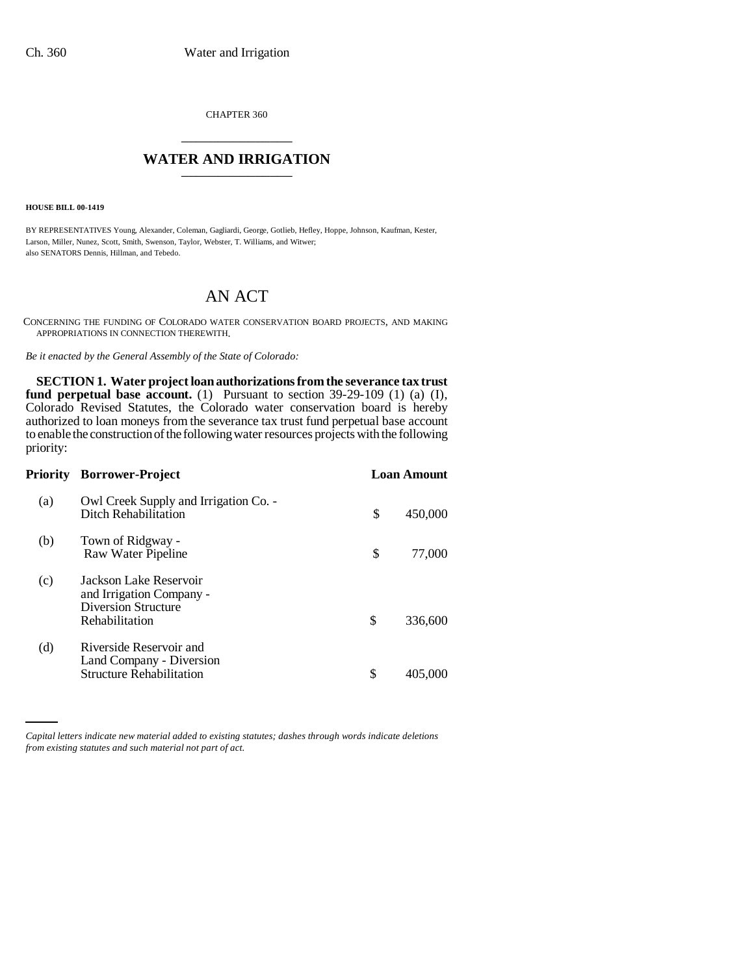CHAPTER 360 \_\_\_\_\_\_\_\_\_\_\_\_\_\_\_

## **WATER AND IRRIGATION**

**HOUSE BILL 00-1419** 

BY REPRESENTATIVES Young, Alexander, Coleman, Gagliardi, George, Gotlieb, Hefley, Hoppe, Johnson, Kaufman, Kester, Larson, Miller, Nunez, Scott, Smith, Swenson, Taylor, Webster, T. Williams, and Witwer; also SENATORS Dennis, Hillman, and Tebedo.

# AN ACT

CONCERNING THE FUNDING OF COLORADO WATER CONSERVATION BOARD PROJECTS, AND MAKING APPROPRIATIONS IN CONNECTION THEREWITH.

*Be it enacted by the General Assembly of the State of Colorado:*

**SECTION 1. Water project loan authorizations from the severance tax trust fund perpetual base account.** (1) Pursuant to section 39-29-109 (1) (a) (I), Colorado Revised Statutes, the Colorado water conservation board is hereby authorized to loan moneys from the severance tax trust fund perpetual base account to enable the construction of the following water resources projects with the following priority:

|     | <b>Priority Borrower-Project</b>                                                                   |    | <b>Loan Amount</b> |
|-----|----------------------------------------------------------------------------------------------------|----|--------------------|
| (a) | Owl Creek Supply and Irrigation Co. -<br>Ditch Rehabilitation                                      | \$ | 450,000            |
| (b) | Town of Ridgway -<br>Raw Water Pipeline                                                            | \$ | 77,000             |
| (c) | Jackson Lake Reservoir<br>and Irrigation Company -<br><b>Diversion Structure</b><br>Rehabilitation | \$ | 336,600            |
| (d) | Riverside Reservoir and<br>Land Company - Diversion<br><b>Structure Rehabilitation</b>             | \$ | 405,000            |

*Capital letters indicate new material added to existing statutes; dashes through words indicate deletions from existing statutes and such material not part of act.*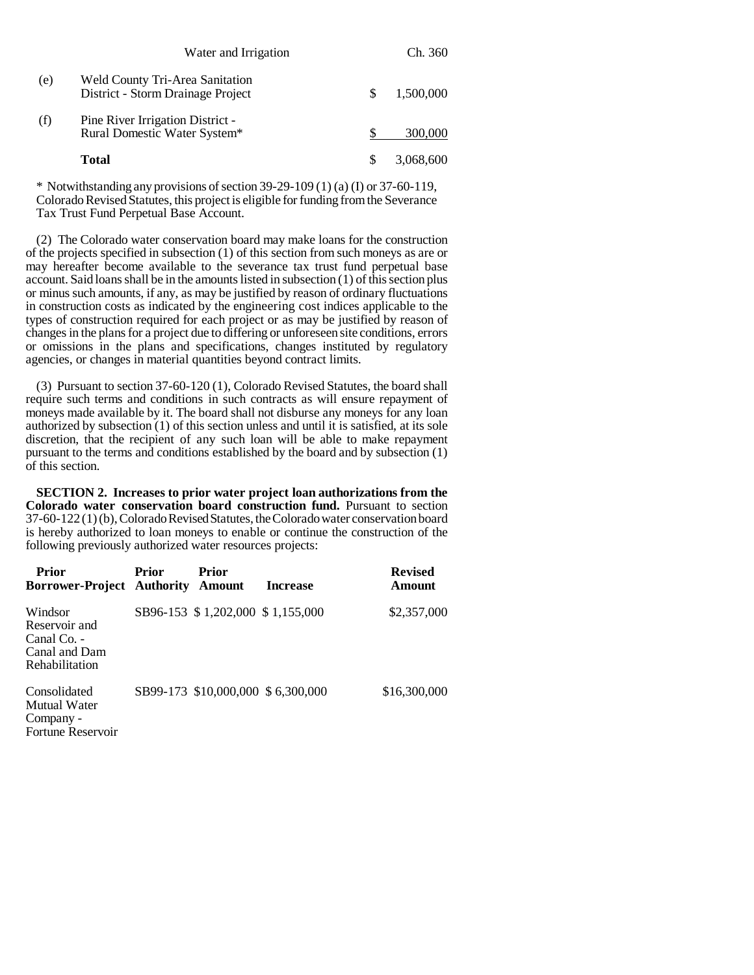|     | Water and Irrigation                                                 | Ch. 360   |
|-----|----------------------------------------------------------------------|-----------|
| (e) | Weld County Tri-Area Sanitation<br>District - Storm Drainage Project | 1,500,000 |
| (f) | Pine River Irrigation District -<br>Rural Domestic Water System*     | 300,000   |
|     | Total                                                                | 3.068.600 |

\* Notwithstanding any provisions of section 39-29-109 (1) (a) (I) or 37-60-119, Colorado Revised Statutes, this project is eligible for funding from the Severance Tax Trust Fund Perpetual Base Account.

(2) The Colorado water conservation board may make loans for the construction of the projects specified in subsection (1) of this section from such moneys as are or may hereafter become available to the severance tax trust fund perpetual base account. Said loans shall be in the amounts listed in subsection (1) of this section plus or minus such amounts, if any, as may be justified by reason of ordinary fluctuations in construction costs as indicated by the engineering cost indices applicable to the types of construction required for each project or as may be justified by reason of changes in the plans for a project due to differing or unforeseen site conditions, errors or omissions in the plans and specifications, changes instituted by regulatory agencies, or changes in material quantities beyond contract limits.

(3) Pursuant to section 37-60-120 (1), Colorado Revised Statutes, the board shall require such terms and conditions in such contracts as will ensure repayment of moneys made available by it. The board shall not disburse any moneys for any loan authorized by subsection (1) of this section unless and until it is satisfied, at its sole discretion, that the recipient of any such loan will be able to make repayment pursuant to the terms and conditions established by the board and by subsection (1) of this section.

**SECTION 2. Increases to prior water project loan authorizations from the Colorado water conservation board construction fund.** Pursuant to section 37-60-122 (1) (b), Colorado Revised Statutes, the Colorado water conservation board is hereby authorized to loan moneys to enable or continue the construction of the following previously authorized water resources projects:

| <b>Prior</b><br>Borrower-Project Authority Amount                          | <b>Prior</b> | <b>Prior</b>                       | <b>Increase</b>                   | <b>Revised</b><br>Amount |
|----------------------------------------------------------------------------|--------------|------------------------------------|-----------------------------------|--------------------------|
| Windsor<br>Reservoir and<br>Canal Co. -<br>Canal and Dam<br>Rehabilitation |              | SB96-153 \$ 1,202,000 \$ 1,155,000 |                                   | \$2,357,000              |
| Consolidated<br>Mutual Water<br>Company -<br>Fortune Reservoir             |              |                                    | SB99-173 \$10,000,000 \$6,300,000 | \$16,300,000             |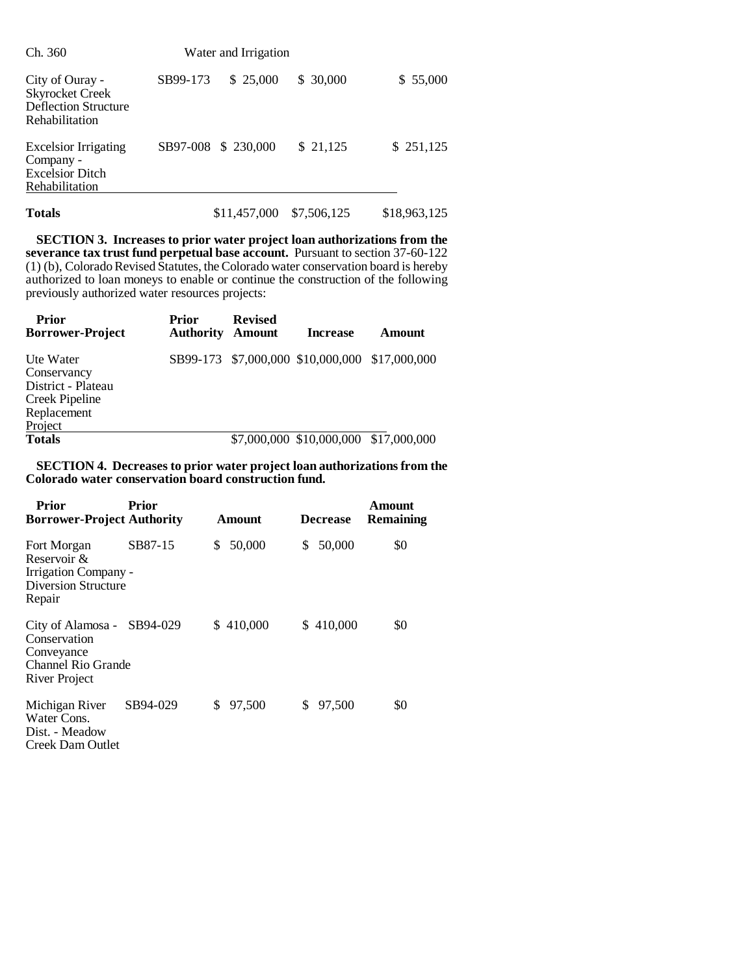| Ch. 360                                                                                           |          | Water and Irrigation |           |           |
|---------------------------------------------------------------------------------------------------|----------|----------------------|-----------|-----------|
| City of Ouray -<br><b>Skyrocket Creek</b><br><b>Deflection Structure</b><br><b>Rehabilitation</b> | SB99-173 | \$25,000             | \$ 30,000 | \$55,000  |
| <b>Excelsior Irrigating</b><br>Company -<br><b>Excelsior Ditch</b><br>Rehabilitation              |          | SB97-008 \$ 230,000  | \$21,125  | \$251,125 |

**Totals** \$11,457,000 \$7,506,125 \$18,963,125

**SECTION 3. Increases to prior water project loan authorizations from the severance tax trust fund perpetual base account.** Pursuant to section 37-60-122 (1) (b), Colorado Revised Statutes, the Colorado water conservation board is hereby authorized to loan moneys to enable or continue the construction of the following previously authorized water resources projects:

| <b>Prior</b><br><b>Borrower-Project</b>                                                    | Prior<br><b>Authority</b> | <b>Revised</b><br><b>Amount</b> | <b>Increase</b>                                | Amount |
|--------------------------------------------------------------------------------------------|---------------------------|---------------------------------|------------------------------------------------|--------|
| Ute Water<br>Conservancy<br>District - Plateau<br>Creek Pipeline<br>Replacement<br>Project |                           |                                 | SB99-173 \$7,000,000 \$10,000,000 \$17,000,000 |        |
| <b>Totals</b>                                                                              |                           |                                 | \$7,000,000 \$10,000,000 \$17,000,000          |        |

### **SECTION 4. Decreases to prior water project loan authorizations from the Colorado water conservation board construction fund.**

| <b>Prior</b><br><b>Borrower-Project Authority</b>                                                      | Prior    | Amount       | <b>Decrease</b> | Amount<br><b>Remaining</b> |
|--------------------------------------------------------------------------------------------------------|----------|--------------|-----------------|----------------------------|
| Fort Morgan<br>Reservoir &<br>Irrigation Company -<br>Diversion Structure<br>Repair                    | SB87-15  | 50,000<br>S  | 50,000<br>S     | \$0                        |
| City of Alamosa - SB94-029<br>Conservation<br>Conveyance<br><b>Channel Rio Grande</b><br>River Project |          | \$410,000    | \$410,000       | \$0                        |
| Michigan River<br>Water Cons.<br>Dist. - Meadow<br>Creek Dam Outlet                                    | SB94-029 | \$<br>97,500 | \$.<br>97,500   | \$0                        |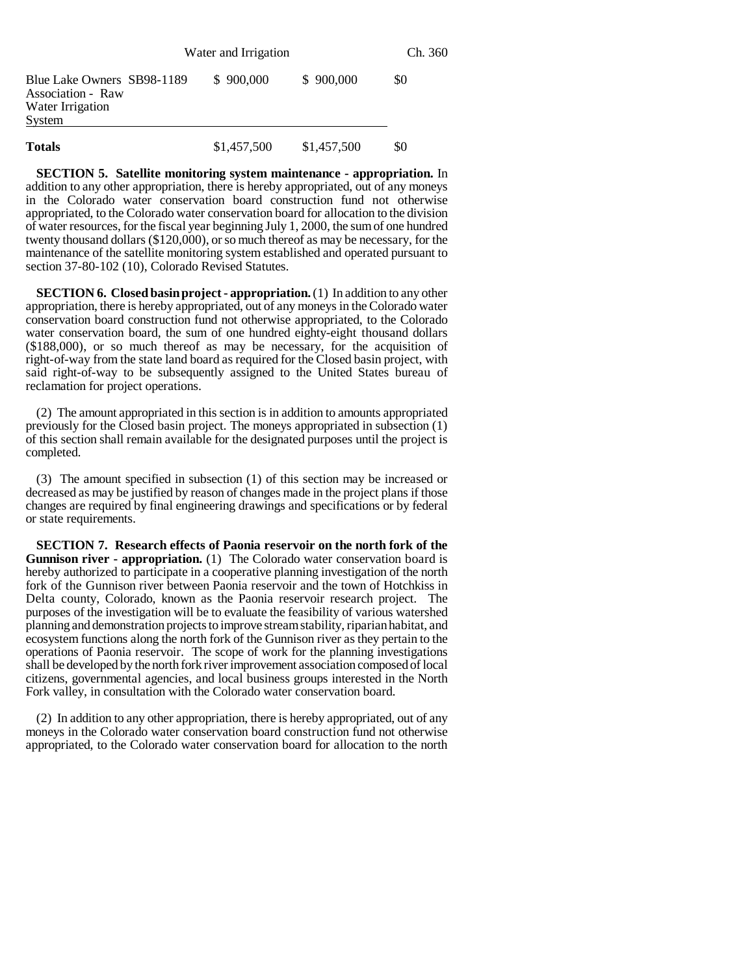|                                                                               | Water and Irrigation |             | Ch. 360 |  |
|-------------------------------------------------------------------------------|----------------------|-------------|---------|--|
| Blue Lake Owners SB98-1189<br>Association - Raw<br>Water Irrigation<br>System | \$900,000            | \$900,000   | \$0     |  |
| <b>Totals</b>                                                                 | \$1,457,500          | \$1,457,500 | \$0     |  |

**SECTION 5. Satellite monitoring system maintenance - appropriation.** In addition to any other appropriation, there is hereby appropriated, out of any moneys in the Colorado water conservation board construction fund not otherwise appropriated, to the Colorado water conservation board for allocation to the division of water resources, for the fiscal year beginning July 1, 2000, the sum of one hundred twenty thousand dollars (\$120,000), or so much thereof as may be necessary, for the maintenance of the satellite monitoring system established and operated pursuant to section 37-80-102 (10), Colorado Revised Statutes.

**SECTION 6. Closed basin project - appropriation.** (1) In addition to any other appropriation, there is hereby appropriated, out of any moneys in the Colorado water conservation board construction fund not otherwise appropriated, to the Colorado water conservation board, the sum of one hundred eighty-eight thousand dollars (\$188,000), or so much thereof as may be necessary, for the acquisition of right-of-way from the state land board as required for the Closed basin project, with said right-of-way to be subsequently assigned to the United States bureau of reclamation for project operations.

(2) The amount appropriated in this section is in addition to amounts appropriated previously for the Closed basin project. The moneys appropriated in subsection (1) of this section shall remain available for the designated purposes until the project is completed.

(3) The amount specified in subsection (1) of this section may be increased or decreased as may be justified by reason of changes made in the project plans if those changes are required by final engineering drawings and specifications or by federal or state requirements.

**SECTION 7. Research effects of Paonia reservoir on the north fork of the Gunnison river - appropriation.** (1) The Colorado water conservation board is hereby authorized to participate in a cooperative planning investigation of the north fork of the Gunnison river between Paonia reservoir and the town of Hotchkiss in Delta county, Colorado, known as the Paonia reservoir research project. The purposes of the investigation will be to evaluate the feasibility of various watershed planning and demonstration projects to improve stream stability, riparian habitat, and ecosystem functions along the north fork of the Gunnison river as they pertain to the operations of Paonia reservoir. The scope of work for the planning investigations shall be developed by the north fork river improvement association composed of local citizens, governmental agencies, and local business groups interested in the North Fork valley, in consultation with the Colorado water conservation board.

(2) In addition to any other appropriation, there is hereby appropriated, out of any moneys in the Colorado water conservation board construction fund not otherwise appropriated, to the Colorado water conservation board for allocation to the north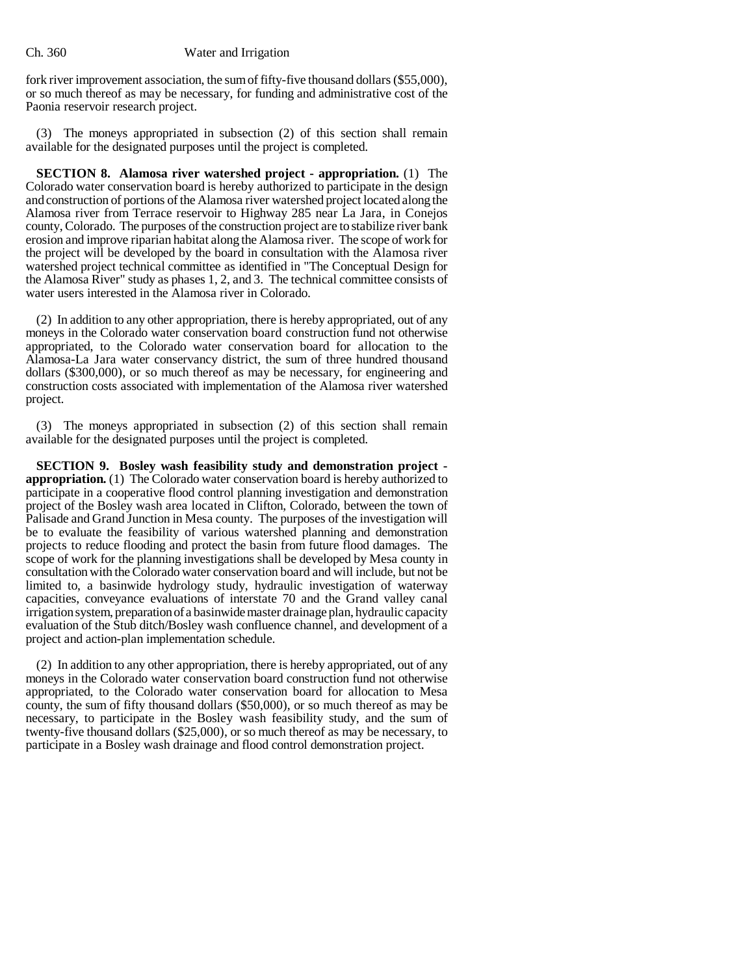fork river improvement association, the sum of fifty-five thousand dollars (\$55,000), or so much thereof as may be necessary, for funding and administrative cost of the Paonia reservoir research project.

(3) The moneys appropriated in subsection (2) of this section shall remain available for the designated purposes until the project is completed.

**SECTION 8. Alamosa river watershed project - appropriation.** (1) The Colorado water conservation board is hereby authorized to participate in the design and construction of portions of the Alamosa river watershed project located along the Alamosa river from Terrace reservoir to Highway 285 near La Jara, in Conejos county, Colorado. The purposes of the construction project are to stabilize river bank erosion and improve riparian habitat along the Alamosa river. The scope of work for the project will be developed by the board in consultation with the Alamosa river watershed project technical committee as identified in "The Conceptual Design for the Alamosa River" study as phases 1, 2, and 3. The technical committee consists of water users interested in the Alamosa river in Colorado.

(2) In addition to any other appropriation, there is hereby appropriated, out of any moneys in the Colorado water conservation board construction fund not otherwise appropriated, to the Colorado water conservation board for allocation to the Alamosa-La Jara water conservancy district, the sum of three hundred thousand dollars (\$300,000), or so much thereof as may be necessary, for engineering and construction costs associated with implementation of the Alamosa river watershed project.

(3) The moneys appropriated in subsection (2) of this section shall remain available for the designated purposes until the project is completed.

**SECTION 9. Bosley wash feasibility study and demonstration project appropriation.** (1) The Colorado water conservation board is hereby authorized to participate in a cooperative flood control planning investigation and demonstration project of the Bosley wash area located in Clifton, Colorado, between the town of Palisade and Grand Junction in Mesa county. The purposes of the investigation will be to evaluate the feasibility of various watershed planning and demonstration projects to reduce flooding and protect the basin from future flood damages. The scope of work for the planning investigations shall be developed by Mesa county in consultation with the Colorado water conservation board and will include, but not be limited to, a basinwide hydrology study, hydraulic investigation of waterway capacities, conveyance evaluations of interstate 70 and the Grand valley canal irrigation system, preparation of a basinwide master drainage plan, hydraulic capacity evaluation of the Stub ditch/Bosley wash confluence channel, and development of a project and action-plan implementation schedule.

(2) In addition to any other appropriation, there is hereby appropriated, out of any moneys in the Colorado water conservation board construction fund not otherwise appropriated, to the Colorado water conservation board for allocation to Mesa county, the sum of fifty thousand dollars (\$50,000), or so much thereof as may be necessary, to participate in the Bosley wash feasibility study, and the sum of twenty-five thousand dollars (\$25,000), or so much thereof as may be necessary, to participate in a Bosley wash drainage and flood control demonstration project.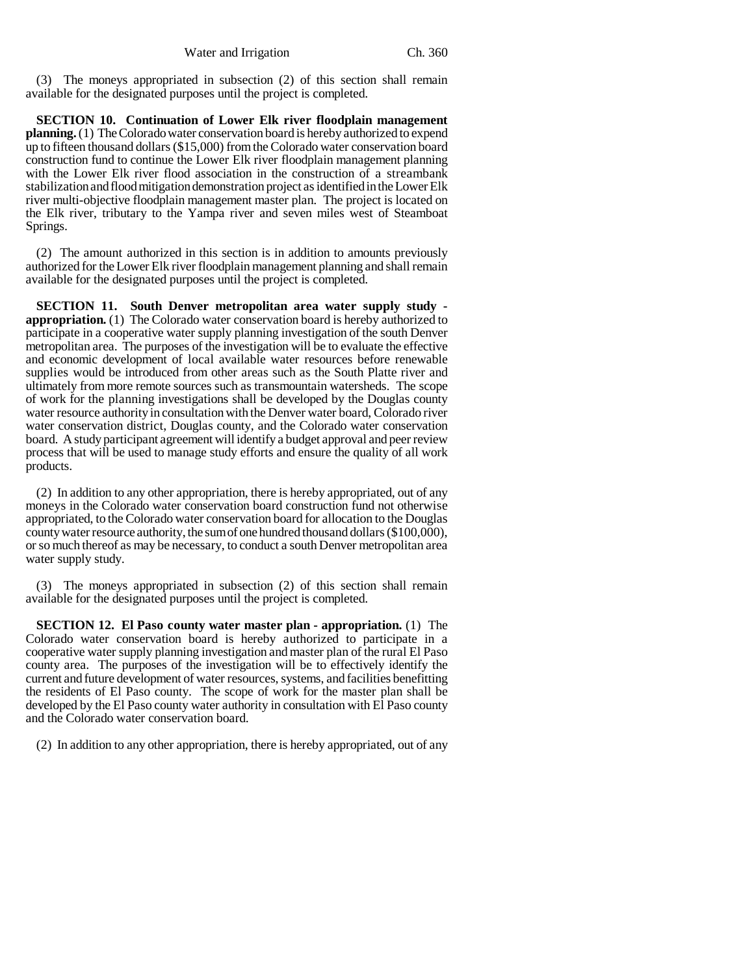(3) The moneys appropriated in subsection (2) of this section shall remain available for the designated purposes until the project is completed.

**SECTION 10. Continuation of Lower Elk river floodplain management planning.** (1) The Colorado water conservation board is hereby authorized to expend up to fifteen thousand dollars (\$15,000) from the Colorado water conservation board construction fund to continue the Lower Elk river floodplain management planning with the Lower Elk river flood association in the construction of a streambank stabilization and flood mitigation demonstration project as identified in the Lower Elk river multi-objective floodplain management master plan. The project is located on the Elk river, tributary to the Yampa river and seven miles west of Steamboat Springs.

(2) The amount authorized in this section is in addition to amounts previously authorized for the Lower Elk river floodplain management planning and shall remain available for the designated purposes until the project is completed.

**SECTION 11. South Denver metropolitan area water supply study appropriation.** (1) The Colorado water conservation board is hereby authorized to participate in a cooperative water supply planning investigation of the south Denver metropolitan area. The purposes of the investigation will be to evaluate the effective and economic development of local available water resources before renewable supplies would be introduced from other areas such as the South Platte river and ultimately from more remote sources such as transmountain watersheds. The scope of work for the planning investigations shall be developed by the Douglas county water resource authority in consultation with the Denver water board, Colorado river water conservation district, Douglas county, and the Colorado water conservation board. A study participant agreement will identify a budget approval and peer review process that will be used to manage study efforts and ensure the quality of all work products.

(2) In addition to any other appropriation, there is hereby appropriated, out of any moneys in the Colorado water conservation board construction fund not otherwise appropriated, to the Colorado water conservation board for allocation to the Douglas county water resource authority, the sum of one hundred thousand dollars (\$100,000), or so much thereof as may be necessary, to conduct a south Denver metropolitan area water supply study.

(3) The moneys appropriated in subsection (2) of this section shall remain available for the designated purposes until the project is completed.

**SECTION 12. El Paso county water master plan - appropriation.** (1) The Colorado water conservation board is hereby authorized to participate in a cooperative water supply planning investigation and master plan of the rural El Paso county area. The purposes of the investigation will be to effectively identify the current and future development of water resources, systems, and facilities benefitting the residents of El Paso county. The scope of work for the master plan shall be developed by the El Paso county water authority in consultation with El Paso county and the Colorado water conservation board.

(2) In addition to any other appropriation, there is hereby appropriated, out of any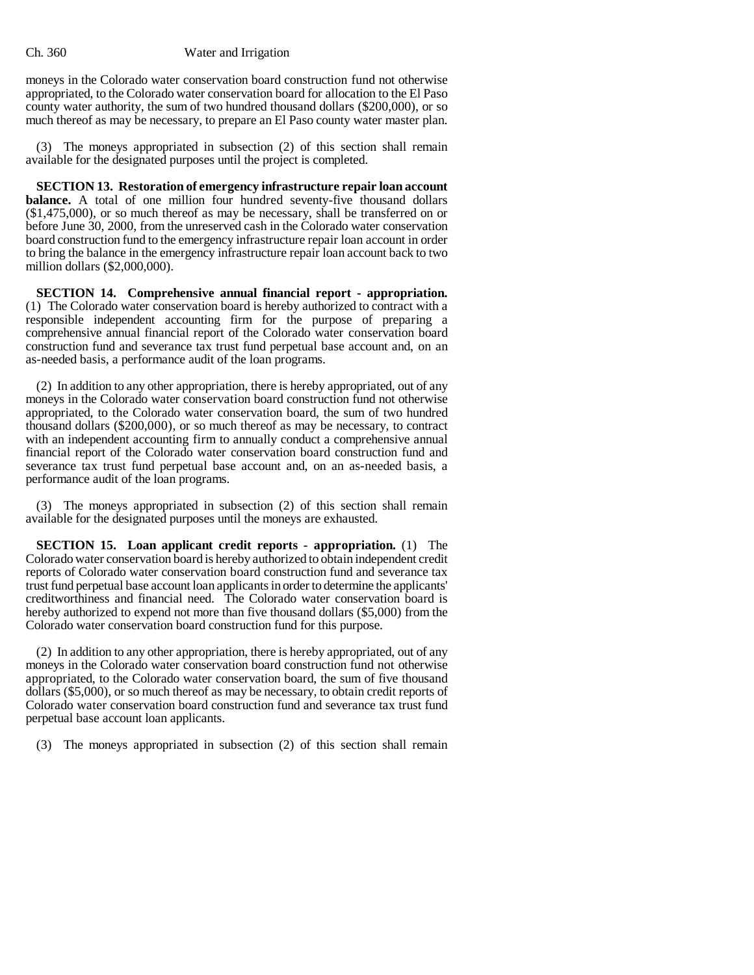moneys in the Colorado water conservation board construction fund not otherwise appropriated, to the Colorado water conservation board for allocation to the El Paso county water authority, the sum of two hundred thousand dollars (\$200,000), or so much thereof as may be necessary, to prepare an El Paso county water master plan.

(3) The moneys appropriated in subsection (2) of this section shall remain available for the designated purposes until the project is completed.

**SECTION 13. Restoration of emergency infrastructure repair loan account balance.** A total of one million four hundred seventy-five thousand dollars (\$1,475,000), or so much thereof as may be necessary, shall be transferred on or before June 30, 2000, from the unreserved cash in the Colorado water conservation board construction fund to the emergency infrastructure repair loan account in order to bring the balance in the emergency infrastructure repair loan account back to two million dollars (\$2,000,000).

**SECTION 14. Comprehensive annual financial report - appropriation.** (1) The Colorado water conservation board is hereby authorized to contract with a responsible independent accounting firm for the purpose of preparing a comprehensive annual financial report of the Colorado water conservation board construction fund and severance tax trust fund perpetual base account and, on an as-needed basis, a performance audit of the loan programs.

(2) In addition to any other appropriation, there is hereby appropriated, out of any moneys in the Colorado water conservation board construction fund not otherwise appropriated, to the Colorado water conservation board, the sum of two hundred thousand dollars (\$200,000), or so much thereof as may be necessary, to contract with an independent accounting firm to annually conduct a comprehensive annual financial report of the Colorado water conservation board construction fund and severance tax trust fund perpetual base account and, on an as-needed basis, a performance audit of the loan programs.

(3) The moneys appropriated in subsection (2) of this section shall remain available for the designated purposes until the moneys are exhausted.

**SECTION 15. Loan applicant credit reports - appropriation.** (1) The Colorado water conservation board is hereby authorized to obtain independent credit reports of Colorado water conservation board construction fund and severance tax trust fund perpetual base account loan applicants in order to determine the applicants' creditworthiness and financial need. The Colorado water conservation board is hereby authorized to expend not more than five thousand dollars (\$5,000) from the Colorado water conservation board construction fund for this purpose.

(2) In addition to any other appropriation, there is hereby appropriated, out of any moneys in the Colorado water conservation board construction fund not otherwise appropriated, to the Colorado water conservation board, the sum of five thousand dollars (\$5,000), or so much thereof as may be necessary, to obtain credit reports of Colorado water conservation board construction fund and severance tax trust fund perpetual base account loan applicants.

(3) The moneys appropriated in subsection (2) of this section shall remain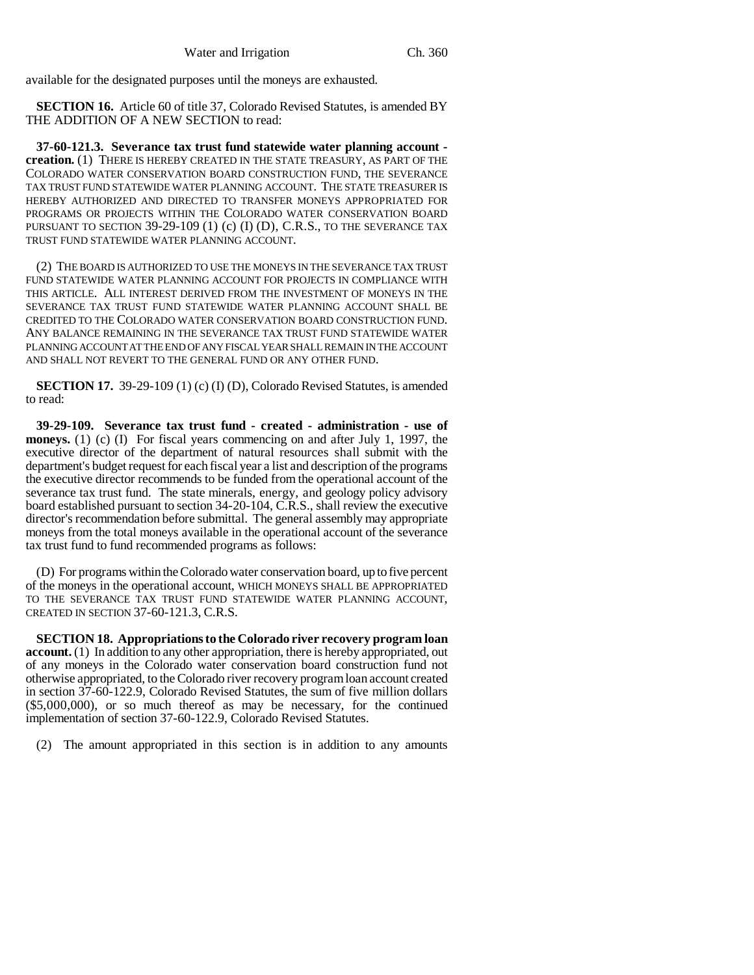available for the designated purposes until the moneys are exhausted.

**SECTION 16.** Article 60 of title 37, Colorado Revised Statutes, is amended BY THE ADDITION OF A NEW SECTION to read:

**37-60-121.3. Severance tax trust fund statewide water planning account creation.** (1) THERE IS HEREBY CREATED IN THE STATE TREASURY, AS PART OF THE COLORADO WATER CONSERVATION BOARD CONSTRUCTION FUND, THE SEVERANCE TAX TRUST FUND STATEWIDE WATER PLANNING ACCOUNT. THE STATE TREASURER IS HEREBY AUTHORIZED AND DIRECTED TO TRANSFER MONEYS APPROPRIATED FOR PROGRAMS OR PROJECTS WITHIN THE COLORADO WATER CONSERVATION BOARD PURSUANT TO SECTION  $39-29-109$  (1) (c) (I) (D), C.R.S., TO THE SEVERANCE TAX TRUST FUND STATEWIDE WATER PLANNING ACCOUNT.

(2) THE BOARD IS AUTHORIZED TO USE THE MONEYS IN THE SEVERANCE TAX TRUST FUND STATEWIDE WATER PLANNING ACCOUNT FOR PROJECTS IN COMPLIANCE WITH THIS ARTICLE. ALL INTEREST DERIVED FROM THE INVESTMENT OF MONEYS IN THE SEVERANCE TAX TRUST FUND STATEWIDE WATER PLANNING ACCOUNT SHALL BE CREDITED TO THE COLORADO WATER CONSERVATION BOARD CONSTRUCTION FUND. ANY BALANCE REMAINING IN THE SEVERANCE TAX TRUST FUND STATEWIDE WATER PLANNING ACCOUNT AT THE END OF ANY FISCAL YEAR SHALL REMAIN IN THE ACCOUNT AND SHALL NOT REVERT TO THE GENERAL FUND OR ANY OTHER FUND.

**SECTION 17.** 39-29-109 (1) (c) (I) (D), Colorado Revised Statutes, is amended to read:

**39-29-109. Severance tax trust fund - created - administration - use of moneys.** (1) (c) (I) For fiscal years commencing on and after July 1, 1997, the executive director of the department of natural resources shall submit with the department's budget request for each fiscal year a list and description of the programs the executive director recommends to be funded from the operational account of the severance tax trust fund. The state minerals, energy, and geology policy advisory board established pursuant to section 34-20-104, C.R.S., shall review the executive director's recommendation before submittal. The general assembly may appropriate moneys from the total moneys available in the operational account of the severance tax trust fund to fund recommended programs as follows:

(D) For programs within the Colorado water conservation board, up to five percent of the moneys in the operational account, WHICH MONEYS SHALL BE APPROPRIATED TO THE SEVERANCE TAX TRUST FUND STATEWIDE WATER PLANNING ACCOUNT, CREATED IN SECTION 37-60-121.3, C.R.S.

**SECTION 18. Appropriations to the Colorado river recovery program loan account.** (1) In addition to any other appropriation, there is hereby appropriated, out of any moneys in the Colorado water conservation board construction fund not otherwise appropriated, to the Colorado river recovery program loan account created in section 37-60-122.9, Colorado Revised Statutes, the sum of five million dollars (\$5,000,000), or so much thereof as may be necessary, for the continued implementation of section 37-60-122.9, Colorado Revised Statutes.

(2) The amount appropriated in this section is in addition to any amounts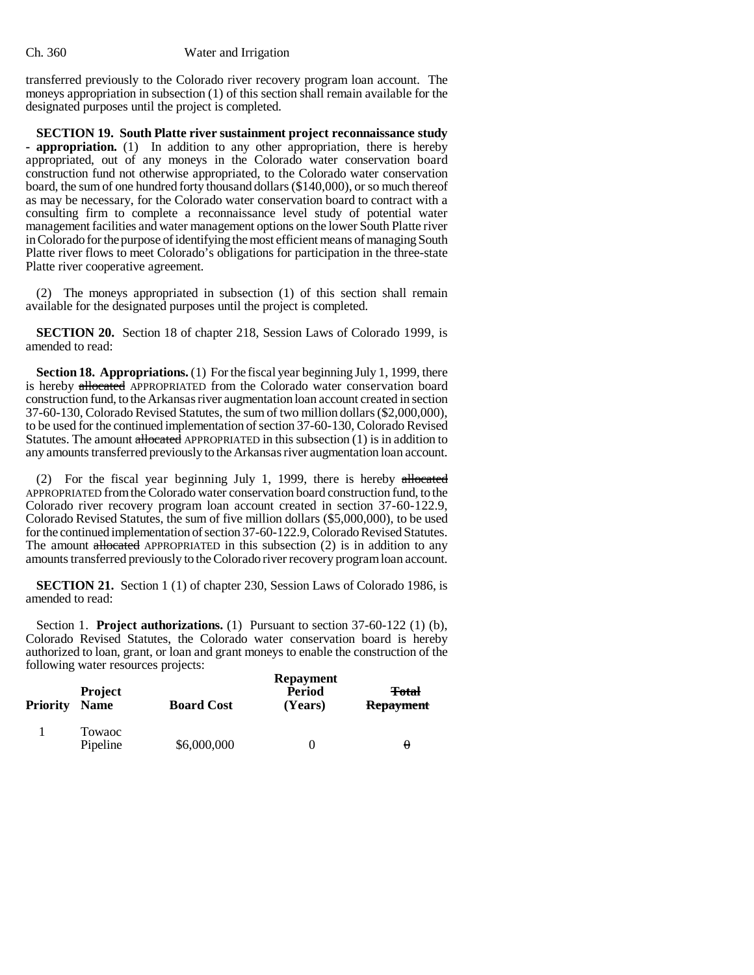transferred previously to the Colorado river recovery program loan account. The moneys appropriation in subsection (1) of this section shall remain available for the designated purposes until the project is completed.

**SECTION 19. South Platte river sustainment project reconnaissance study - appropriation.** (1) In addition to any other appropriation, there is hereby appropriated, out of any moneys in the Colorado water conservation board construction fund not otherwise appropriated, to the Colorado water conservation board, the sum of one hundred forty thousand dollars (\$140,000), or so much thereof as may be necessary, for the Colorado water conservation board to contract with a consulting firm to complete a reconnaissance level study of potential water management facilities and water management options on the lower South Platte river in Colorado for the purpose of identifying the most efficient means of managing South Platte river flows to meet Colorado's obligations for participation in the three-state Platte river cooperative agreement.

(2) The moneys appropriated in subsection (1) of this section shall remain available for the designated purposes until the project is completed.

**SECTION 20.** Section 18 of chapter 218, Session Laws of Colorado 1999, is amended to read:

**Section 18. Appropriations.** (1) For the fiscal year beginning July 1, 1999, there is hereby allocated APPROPRIATED from the Colorado water conservation board construction fund, to the Arkansas river augmentation loan account created in section 37-60-130, Colorado Revised Statutes, the sum of two million dollars (\$2,000,000), to be used for the continued implementation of section 37-60-130, Colorado Revised Statutes. The amount allocated APPROPRIATED in this subsection (1) is in addition to any amounts transferred previously to the Arkansas river augmentation loan account.

(2) For the fiscal year beginning July 1, 1999, there is hereby allocated APPROPRIATED from the Colorado water conservation board construction fund, to the Colorado river recovery program loan account created in section 37-60-122.9, Colorado Revised Statutes, the sum of five million dollars (\$5,000,000), to be used for the continued implementation of section 37-60-122.9, Colorado Revised Statutes. The amount allocated APPROPRIATED in this subsection (2) is in addition to any amounts transferred previously to the Colorado river recovery program loan account.

**SECTION 21.** Section 1 (1) of chapter 230, Session Laws of Colorado 1986, is amended to read:

Section 1. **Project authorizations.** (1) Pursuant to section 37-60-122 (1) (b), Colorado Revised Statutes, the Colorado water conservation board is hereby authorized to loan, grant, or loan and grant moneys to enable the construction of the following water resources projects:

| Priority | <b>Project</b><br><b>Name</b> | <b>Board Cost</b> | <b>Repayment</b><br>Period<br>(Years) | <b>Total</b><br><b>Repayment</b> |
|----------|-------------------------------|-------------------|---------------------------------------|----------------------------------|
|          | Towaoc<br>Pipeline            | \$6,000,000       |                                       | $\theta$                         |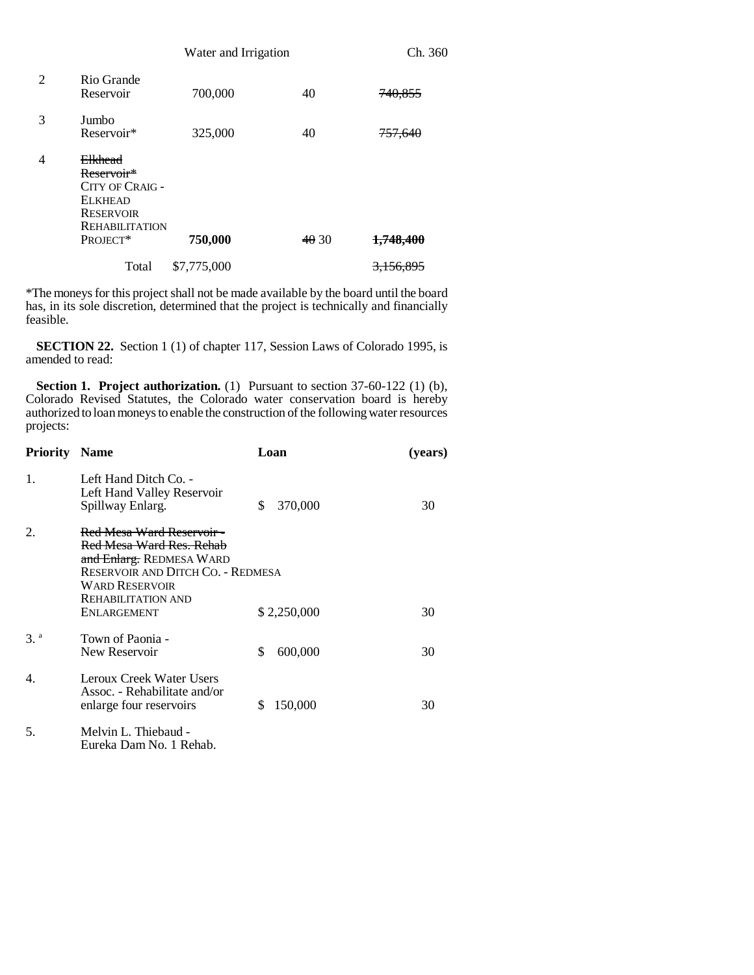|   |                                                                                                                            | Water and Irrigation |      | Ch. 360              |
|---|----------------------------------------------------------------------------------------------------------------------------|----------------------|------|----------------------|
| 2 | Rio Grande<br>Reservoir                                                                                                    | 700,000              | 40   | 740,855              |
| 3 | Jumbo<br>Reservoir*                                                                                                        | 325,000              | 40   | <del>757,640</del>   |
| 4 | <b>Elkhead</b><br>Reservoir*<br>CITY OF CRAIG -<br><b>ELKHEAD</b><br><b>RESERVOIR</b><br><b>REHABILITATION</b><br>PROJECT* | 750,000              | 4030 | 1,748,400            |
|   | Total                                                                                                                      | \$7,775,000          |      | <del>3,156,895</del> |

\*The moneys for this project shall not be made available by the board until the board has, in its sole discretion, determined that the project is technically and financially feasible.

**SECTION 22.** Section 1 (1) of chapter 117, Session Laws of Colorado 1995, is amended to read:

**Section 1. Project authorization.** (1) Pursuant to section 37-60-122 (1) (b), Colorado Revised Statutes, the Colorado water conservation board is hereby authorized to loan moneys to enable the construction of the following water resources projects:

| <b>Priority Name</b> |                                                                                                                                                                              | Loan          | (years) |
|----------------------|------------------------------------------------------------------------------------------------------------------------------------------------------------------------------|---------------|---------|
| 1.                   | Left Hand Ditch Co. -<br>Left Hand Valley Reservoir<br>Spillway Enlarg.                                                                                                      | \$<br>370,000 | 30      |
| 2.                   | Red Mesa Ward Reservoir -<br>Red Mesa Ward Res. Rehab<br>and Enlarg. REDMESA WARD<br>RESERVOIR AND DITCH CO. - REDMESA<br><b>WARD RESERVOIR</b><br><b>REHABILITATION AND</b> |               |         |
|                      | ENLARGEMENT                                                                                                                                                                  | \$2,250,000   | 30      |
| 3 <sup>a</sup>       | Town of Paonia -<br>New Reservoir                                                                                                                                            | 600,000<br>\$ | 30      |
| 4.                   | Leroux Creek Water Users<br>Assoc. - Rehabilitate and/or<br>enlarge four reservoirs                                                                                          | 150,000<br>\$ | 30      |
| 5.                   | Melvin L. Thiebaud -<br>Eureka Dam No. 1 Rehab.                                                                                                                              |               |         |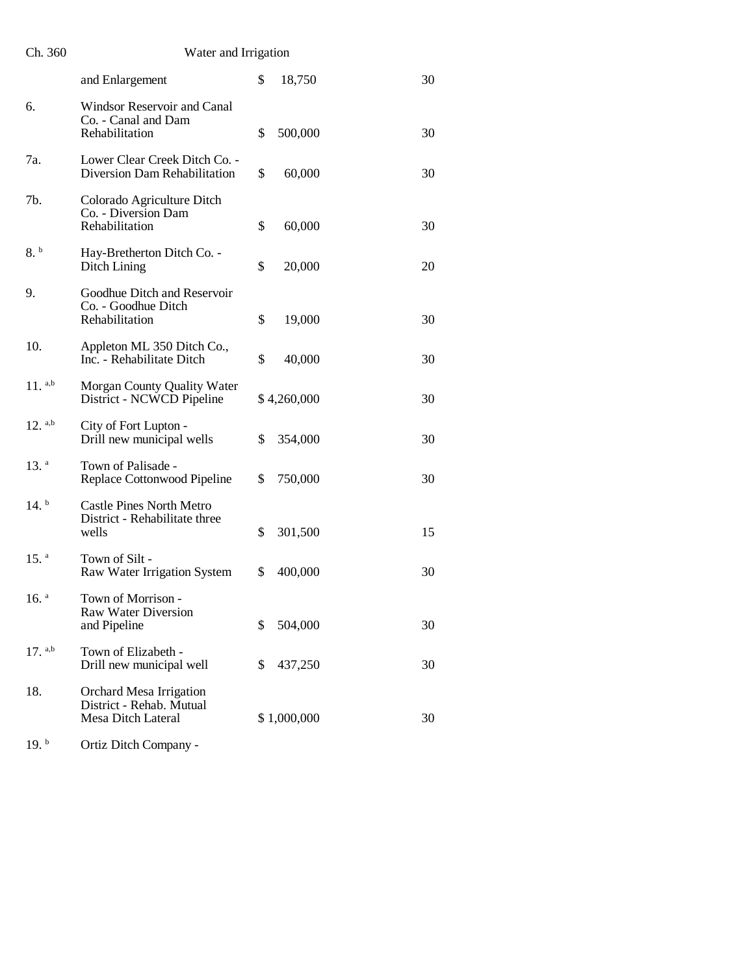| Ch. 360 | Water and Irrigation |
|---------|----------------------|
|         |                      |

|                      | and Enlargement                                                                  | \$<br>18,750  | 30 |
|----------------------|----------------------------------------------------------------------------------|---------------|----|
| 6.                   | Windsor Reservoir and Canal<br>Co. - Canal and Dam<br>Rehabilitation             | \$<br>500,000 | 30 |
| 7a.                  | Lower Clear Creek Ditch Co. -<br>Diversion Dam Rehabilitation                    | \$<br>60,000  | 30 |
| 7b.                  | Colorado Agriculture Ditch<br>Co. - Diversion Dam<br>Rehabilitation              | \$<br>60,000  | 30 |
| 8. b                 | Hay-Bretherton Ditch Co. -<br>Ditch Lining                                       | \$<br>20,000  | 20 |
| 9.                   | Goodhue Ditch and Reservoir<br>Co. - Goodhue Ditch<br>Rehabilitation             | \$<br>19,000  | 30 |
| 10.                  | Appleton ML 350 Ditch Co.,<br>Inc. - Rehabilitate Ditch                          | \$<br>40,000  | 30 |
| $11.$ a,b            | Morgan County Quality Water<br>District - NCWCD Pipeline                         | \$4,260,000   | 30 |
| $12.$ a,b            | City of Fort Lupton -<br>Drill new municipal wells                               | \$<br>354,000 | 30 |
| 13. <sup>a</sup>     | Town of Palisade -<br>Replace Cottonwood Pipeline                                | \$<br>750,000 | 30 |
| $14.^{\circ}$        | <b>Castle Pines North Metro</b><br>District - Rehabilitate three<br>wells        | \$<br>301,500 | 15 |
| $15.$ <sup>a</sup>   | Town of Silt -<br>Raw Water Irrigation System                                    | \$<br>400,000 | 30 |
| $16.$ <sup>a</sup>   | Town of Morrison -<br><b>Raw Water Diversion</b><br>and Pipeline                 | \$<br>504,000 | 30 |
| $17.$ <sup>a,b</sup> | Town of Elizabeth -<br>Drill new municipal well                                  | \$<br>437,250 | 30 |
| 18.                  | Orchard Mesa Irrigation<br>District - Rehab. Mutual<br><b>Mesa Ditch Lateral</b> | \$1,000,000   | 30 |

19. b Ortiz Ditch Company -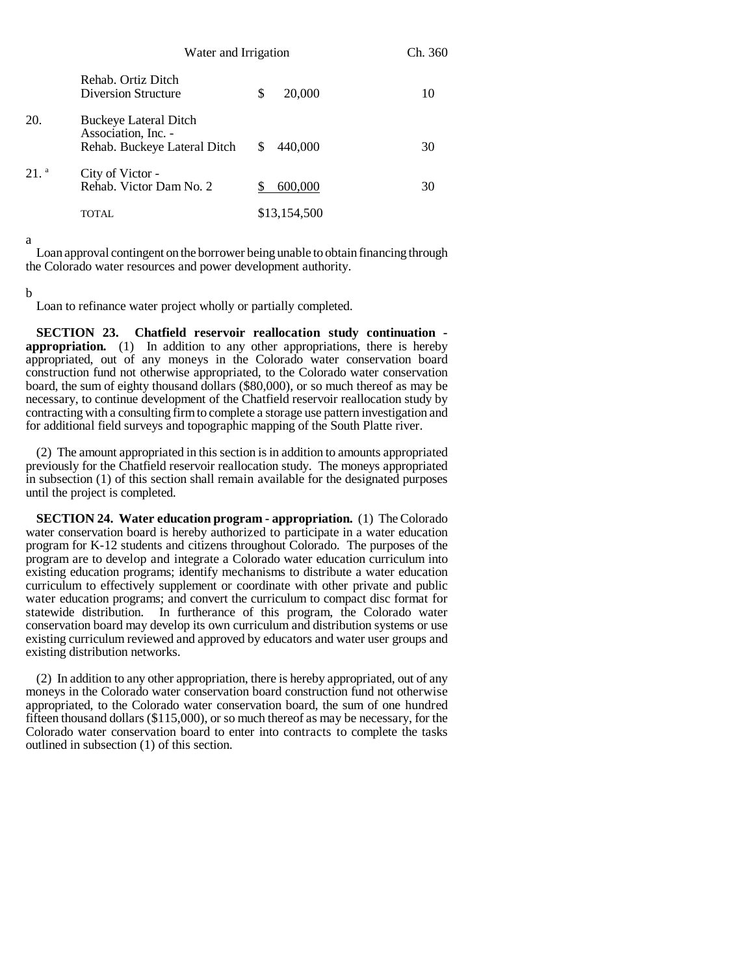|                  | Water and Irrigation                                                                |              | Ch. 360 |
|------------------|-------------------------------------------------------------------------------------|--------------|---------|
|                  | Rehab. Ortiz Ditch<br><b>Diversion Structure</b>                                    | 20,000<br>\$ | 10      |
| 20.              | <b>Buckeye Lateral Ditch</b><br>Association, Inc. -<br>Rehab. Buckeye Lateral Ditch | 440,000<br>S | 30      |
| 21. <sup>a</sup> | City of Victor -<br>Rehab. Victor Dam No. 2                                         | 600,000      | 30      |
|                  | TOTAL.                                                                              | \$13,154,500 |         |

a

Loan approval contingent on the borrower being unable to obtain financing through the Colorado water resources and power development authority.

b

Loan to refinance water project wholly or partially completed.

**SECTION 23. Chatfield reservoir reallocation study continuation appropriation.** (1) In addition to any other appropriations, there is hereby appropriated, out of any moneys in the Colorado water conservation board construction fund not otherwise appropriated, to the Colorado water conservation board, the sum of eighty thousand dollars (\$80,000), or so much thereof as may be necessary, to continue development of the Chatfield reservoir reallocation study by contracting with a consulting firm to complete a storage use pattern investigation and for additional field surveys and topographic mapping of the South Platte river.

(2) The amount appropriated in this section is in addition to amounts appropriated previously for the Chatfield reservoir reallocation study. The moneys appropriated in subsection (1) of this section shall remain available for the designated purposes until the project is completed.

**SECTION 24. Water education program - appropriation.** (1) The Colorado water conservation board is hereby authorized to participate in a water education program for K-12 students and citizens throughout Colorado. The purposes of the program are to develop and integrate a Colorado water education curriculum into existing education programs; identify mechanisms to distribute a water education curriculum to effectively supplement or coordinate with other private and public water education programs; and convert the curriculum to compact disc format for statewide distribution. In furtherance of this program, the Colorado water conservation board may develop its own curriculum and distribution systems or use existing curriculum reviewed and approved by educators and water user groups and existing distribution networks.

(2) In addition to any other appropriation, there is hereby appropriated, out of any moneys in the Colorado water conservation board construction fund not otherwise appropriated, to the Colorado water conservation board, the sum of one hundred fifteen thousand dollars (\$115,000), or so much thereof as may be necessary, for the Colorado water conservation board to enter into contracts to complete the tasks outlined in subsection (1) of this section.